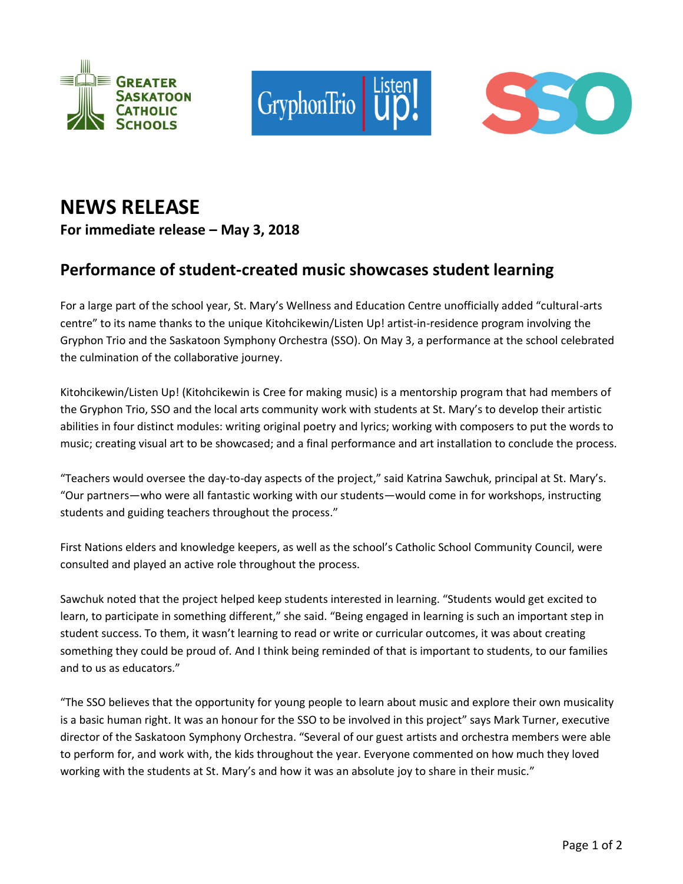





## **NEWS RELEASE For immediate release – May 3, 2018**

## **Performance of student-created music showcases student learning**

For a large part of the school year, St. Mary's Wellness and Education Centre unofficially added "cultural-arts centre" to its name thanks to the unique Kitohcikewin/Listen Up! artist-in-residence program involving the Gryphon Trio and the Saskatoon Symphony Orchestra (SSO). On May 3, a performance at the school celebrated the culmination of the collaborative journey.

Kitohcikewin/Listen Up! (Kitohcikewin is Cree for making music) is a mentorship program that had members of the Gryphon Trio, SSO and the local arts community work with students at St. Mary's to develop their artistic abilities in four distinct modules: writing original poetry and lyrics; working with composers to put the words to music; creating visual art to be showcased; and a final performance and art installation to conclude the process.

"Teachers would oversee the day-to-day aspects of the project," said Katrina Sawchuk, principal at St. Mary's. "Our partners—who were all fantastic working with our students—would come in for workshops, instructing students and guiding teachers throughout the process."

First Nations elders and knowledge keepers, as well as the school's Catholic School Community Council, were consulted and played an active role throughout the process.

Sawchuk noted that the project helped keep students interested in learning. "Students would get excited to learn, to participate in something different," she said. "Being engaged in learning is such an important step in student success. To them, it wasn't learning to read or write or curricular outcomes, it was about creating something they could be proud of. And I think being reminded of that is important to students, to our families and to us as educators."

"The SSO believes that the opportunity for young people to learn about music and explore their own musicality is a basic human right. It was an honour for the SSO to be involved in this project" says Mark Turner, executive director of the Saskatoon Symphony Orchestra. "Several of our guest artists and orchestra members were able to perform for, and work with, the kids throughout the year. Everyone commented on how much they loved working with the students at St. Mary's and how it was an absolute joy to share in their music."